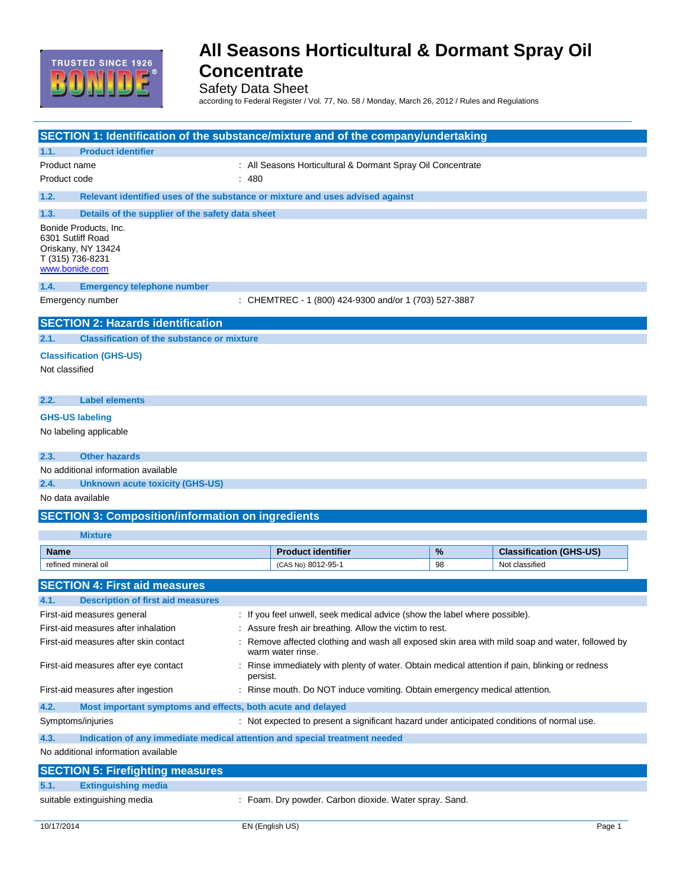

Safety Data Sheet

according to Federal Register / Vol. 77, No. 58 / Monday, March 26, 2012 / Rules and Regulations

| SECTION 1: Identification of the substance/mixture and of the company/undertaking                      |                                                                                                                                |    |                                |
|--------------------------------------------------------------------------------------------------------|--------------------------------------------------------------------------------------------------------------------------------|----|--------------------------------|
| <b>Product identifier</b><br>1.1.                                                                      |                                                                                                                                |    |                                |
| Product name                                                                                           | : All Seasons Horticultural & Dormant Spray Oil Concentrate                                                                    |    |                                |
| Product code                                                                                           | : 480                                                                                                                          |    |                                |
| 1.2.                                                                                                   | Relevant identified uses of the substance or mixture and uses advised against                                                  |    |                                |
| Details of the supplier of the safety data sheet<br>1.3.                                               |                                                                                                                                |    |                                |
| Bonide Products, Inc.<br>6301 Sutliff Road<br>Oriskany, NY 13424<br>T (315) 736-8231<br>www.bonide.com |                                                                                                                                |    |                                |
| 1.4.<br><b>Emergency telephone number</b>                                                              |                                                                                                                                |    |                                |
| Emergency number                                                                                       | : CHEMTREC - 1 (800) 424-9300 and/or 1 (703) 527-3887                                                                          |    |                                |
| <b>SECTION 2: Hazards identification</b>                                                               |                                                                                                                                |    |                                |
| <b>Classification of the substance or mixture</b><br>2.1.                                              |                                                                                                                                |    |                                |
| <b>Classification (GHS-US)</b><br>Not classified                                                       |                                                                                                                                |    |                                |
|                                                                                                        |                                                                                                                                |    |                                |
| 2.2.<br><b>Label elements</b>                                                                          |                                                                                                                                |    |                                |
| <b>GHS-US labeling</b>                                                                                 |                                                                                                                                |    |                                |
| No labeling applicable                                                                                 |                                                                                                                                |    |                                |
| <b>Other hazards</b><br>2.3.                                                                           |                                                                                                                                |    |                                |
| No additional information available                                                                    |                                                                                                                                |    |                                |
| 2.4.<br><b>Unknown acute toxicity (GHS-US)</b>                                                         |                                                                                                                                |    |                                |
| No data available                                                                                      |                                                                                                                                |    |                                |
| <b>SECTION 3: Composition/information on ingredients</b>                                               |                                                                                                                                |    |                                |
| <b>Mixture</b>                                                                                         |                                                                                                                                |    |                                |
| <b>Name</b>                                                                                            | <b>Product identifier</b>                                                                                                      | %  | <b>Classification (GHS-US)</b> |
| refined mineral oil                                                                                    | (CAS No) 8012-95-1                                                                                                             | 98 | Not classified                 |
| <b>SECTION 4: First aid measures</b>                                                                   |                                                                                                                                |    |                                |
| 4.1.<br><b>Description of first aid measures</b>                                                       |                                                                                                                                |    |                                |
| First-aid measures general                                                                             | : If you feel unwell, seek medical advice (show the label where possible).                                                     |    |                                |
| First-aid measures after inhalation                                                                    | Assure fresh air breathing. Allow the victim to rest.                                                                          |    |                                |
| First-aid measures after skin contact                                                                  | Remove affected clothing and wash all exposed skin area with mild soap and water, followed by                                  |    |                                |
| First-aid measures after eye contact                                                                   | warm water rinse.<br>Rinse immediately with plenty of water. Obtain medical attention if pain, blinking or redness<br>persist. |    |                                |
| First-aid measures after ingestion                                                                     | : Rinse mouth. Do NOT induce vomiting. Obtain emergency medical attention.                                                     |    |                                |
| 4.2.<br>Most important symptoms and effects, both acute and delayed                                    |                                                                                                                                |    |                                |
| Symptoms/injuries                                                                                      | : Not expected to present a significant hazard under anticipated conditions of normal use.                                     |    |                                |
| 4.3.<br>Indication of any immediate medical attention and special treatment needed                     |                                                                                                                                |    |                                |
| No additional information available                                                                    |                                                                                                                                |    |                                |
| <b>SECTION 5: Firefighting measures</b>                                                                |                                                                                                                                |    |                                |
| 5.1.<br><b>Extinguishing media</b>                                                                     |                                                                                                                                |    |                                |
|                                                                                                        |                                                                                                                                |    |                                |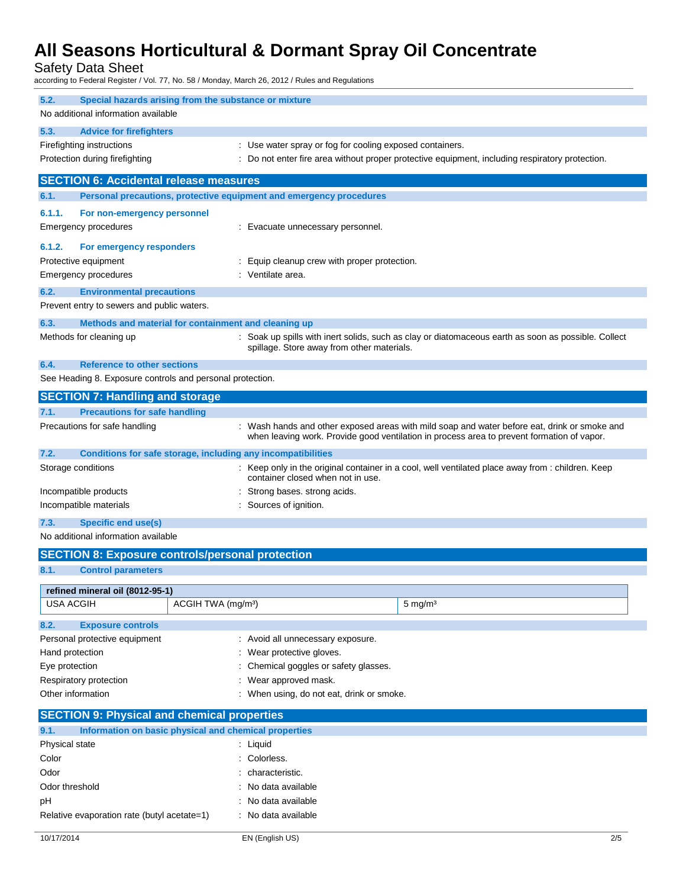Safety Data Sheet

according to Federal Register / Vol. 77, No. 58 / Monday, March 26, 2012 / Rules and Regulations

| 5.2.                                                      | Special hazards arising from the substance or mixture               |                                                                                                                                                                                            |  |  |
|-----------------------------------------------------------|---------------------------------------------------------------------|--------------------------------------------------------------------------------------------------------------------------------------------------------------------------------------------|--|--|
| No additional information available                       |                                                                     |                                                                                                                                                                                            |  |  |
| 5.3.<br><b>Advice for firefighters</b>                    |                                                                     |                                                                                                                                                                                            |  |  |
| Firefighting instructions                                 | : Use water spray or fog for cooling exposed containers.            |                                                                                                                                                                                            |  |  |
| Protection during firefighting                            |                                                                     | : Do not enter fire area without proper protective equipment, including respiratory protection.                                                                                            |  |  |
| <b>SECTION 6: Accidental release measures</b>             |                                                                     |                                                                                                                                                                                            |  |  |
| 6.1.                                                      | Personal precautions, protective equipment and emergency procedures |                                                                                                                                                                                            |  |  |
|                                                           |                                                                     |                                                                                                                                                                                            |  |  |
| 6.1.1.<br>For non-emergency personnel                     |                                                                     |                                                                                                                                                                                            |  |  |
| Emergency procedures                                      | : Evacuate unnecessary personnel.                                   |                                                                                                                                                                                            |  |  |
| 6.1.2.<br>For emergency responders                        |                                                                     |                                                                                                                                                                                            |  |  |
| Protective equipment                                      | : Equip cleanup crew with proper protection.                        |                                                                                                                                                                                            |  |  |
| <b>Emergency procedures</b>                               | : Ventilate area.                                                   |                                                                                                                                                                                            |  |  |
| 6.2.<br><b>Environmental precautions</b>                  |                                                                     |                                                                                                                                                                                            |  |  |
| Prevent entry to sewers and public waters.                |                                                                     |                                                                                                                                                                                            |  |  |
| 6.3.                                                      | Methods and material for containment and cleaning up                |                                                                                                                                                                                            |  |  |
| Methods for cleaning up                                   | spillage. Store away from other materials.                          | : Soak up spills with inert solids, such as clay or diatomaceous earth as soon as possible. Collect                                                                                        |  |  |
|                                                           |                                                                     |                                                                                                                                                                                            |  |  |
| 6.4.<br><b>Reference to other sections</b>                |                                                                     |                                                                                                                                                                                            |  |  |
| See Heading 8. Exposure controls and personal protection. |                                                                     |                                                                                                                                                                                            |  |  |
| <b>SECTION 7: Handling and storage</b>                    |                                                                     |                                                                                                                                                                                            |  |  |
| <b>Precautions for safe handling</b><br>7.1.              |                                                                     |                                                                                                                                                                                            |  |  |
| Precautions for safe handling                             |                                                                     | : Wash hands and other exposed areas with mild soap and water before eat, drink or smoke and<br>when leaving work. Provide good ventilation in process area to prevent formation of vapor. |  |  |
| 7.2.                                                      | Conditions for safe storage, including any incompatibilities        |                                                                                                                                                                                            |  |  |
| Storage conditions                                        | container closed when not in use.                                   | : Keep only in the original container in a cool, well ventilated place away from : children. Keep                                                                                          |  |  |
| Incompatible products                                     | : Strong bases. strong acids.                                       |                                                                                                                                                                                            |  |  |
| Incompatible materials                                    |                                                                     | : Sources of ignition.                                                                                                                                                                     |  |  |
| 7.3.<br><b>Specific end use(s)</b>                        |                                                                     |                                                                                                                                                                                            |  |  |
| No additional information available                       |                                                                     |                                                                                                                                                                                            |  |  |
|                                                           | <b>SECTION 8: Exposure controls/personal protection</b>             |                                                                                                                                                                                            |  |  |
| 8.1.<br><b>Control parameters</b>                         |                                                                     |                                                                                                                                                                                            |  |  |
| refined mineral oil (8012-95-1)                           |                                                                     |                                                                                                                                                                                            |  |  |
| <b>USA ACGIH</b>                                          | ACGIH TWA (mg/m <sup>3</sup> )                                      | $5 \text{ mg/m}^3$                                                                                                                                                                         |  |  |
| 8.2.<br><b>Exposure controls</b>                          |                                                                     |                                                                                                                                                                                            |  |  |
| Personal protective equipment                             | : Avoid all unnecessary exposure.                                   |                                                                                                                                                                                            |  |  |
| Hand protection                                           | : Wear protective gloves.                                           |                                                                                                                                                                                            |  |  |
| Eye protection                                            | Chemical goggles or safety glasses.                                 |                                                                                                                                                                                            |  |  |
| Respiratory protection                                    | Wear approved mask.                                                 |                                                                                                                                                                                            |  |  |
| Other information                                         | : When using, do not eat, drink or smoke.                           |                                                                                                                                                                                            |  |  |
| <b>SECTION 9: Physical and chemical properties</b>        |                                                                     |                                                                                                                                                                                            |  |  |
| 9.1.                                                      |                                                                     |                                                                                                                                                                                            |  |  |
| Physical state                                            | Information on basic physical and chemical properties<br>: Liquid   |                                                                                                                                                                                            |  |  |
| Color                                                     |                                                                     | : Colorless.                                                                                                                                                                               |  |  |
| Odor                                                      |                                                                     | characteristic.                                                                                                                                                                            |  |  |
| Odor threshold                                            | No data available                                                   |                                                                                                                                                                                            |  |  |
| pH                                                        |                                                                     | No data available                                                                                                                                                                          |  |  |
| Relative evaporation rate (butyl acetate=1)               | : No data available                                                 |                                                                                                                                                                                            |  |  |
|                                                           |                                                                     |                                                                                                                                                                                            |  |  |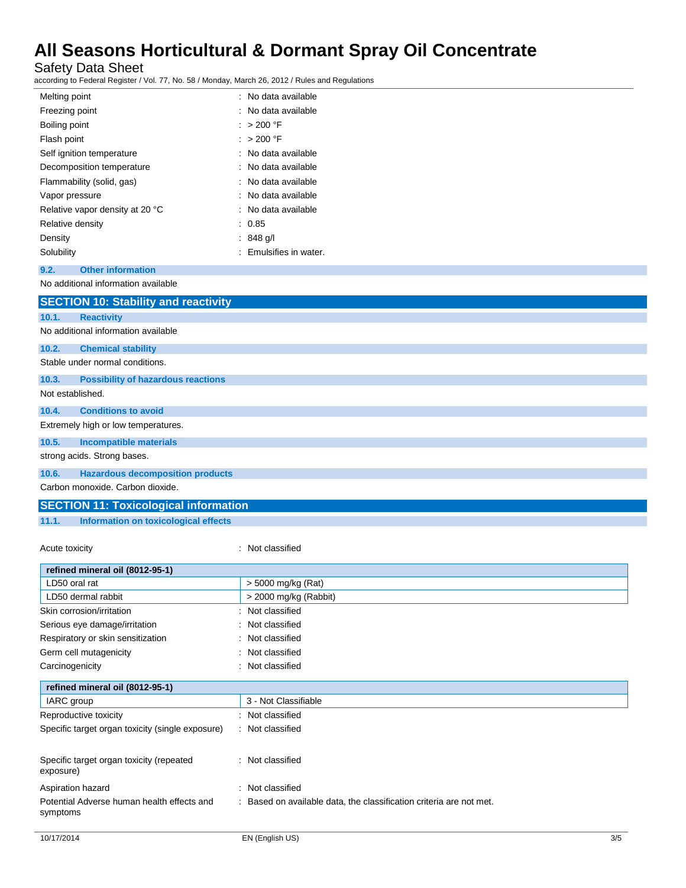Safety Data Sheet<br>according to Federal Register / \

according to Federal Register / Vol. 77, No. 58 / Monday, March 26, 2012 / Rules and Regulations

| according to Federal Register / Vol. 77, No. 58 / Monday, March 26, 2012 / Rules and Regulations |                        |
|--------------------------------------------------------------------------------------------------|------------------------|
| Melting point                                                                                    | : No data available    |
| Freezing point                                                                                   | : No data available    |
| Boiling point                                                                                    | : > 200 °F             |
| Flash point                                                                                      | $: > 200$ °F           |
| Self ignition temperature                                                                        | : No data available    |
| Decomposition temperature                                                                        | : No data available    |
| Flammability (solid, gas)                                                                        | : No data available    |
| Vapor pressure                                                                                   | : No data available    |
| Relative vapor density at 20 °C                                                                  | : No data available    |
| Relative density                                                                                 | : 0.85                 |
| Density                                                                                          | $: 848$ g/l            |
| Solubility                                                                                       | : Emulsifies in water. |
| <b>Other information</b><br>9.2.                                                                 |                        |
| No additional information available                                                              |                        |
| <b>SECTION 10: Stability and reactivity</b>                                                      |                        |
| <b>Reactivity</b><br>10.1.                                                                       |                        |
| No additional information available                                                              |                        |
| 10.2.<br><b>Chemical stability</b>                                                               |                        |
| Stable under normal conditions.                                                                  |                        |
| 10.3.<br><b>Possibility of hazardous reactions</b>                                               |                        |
| Not established.                                                                                 |                        |
| 10.4.<br><b>Conditions to avoid</b>                                                              |                        |
| Extremely high or low temperatures.                                                              |                        |
| 10.5.<br><b>Incompatible materials</b>                                                           |                        |
| strong acids. Strong bases.                                                                      |                        |
| 10.6.<br><b>Hazardous decomposition products</b>                                                 |                        |
| Carbon monoxide. Carbon dioxide.                                                                 |                        |
| <b>SECTION 11: Toxicological information</b>                                                     |                        |

**11.1. Information on toxicological effects**

Acute toxicity **in the case of the case of the case of the case of the case of the case of the case of the case of the case of the case of the case of the case of the case of the case of the case of the case of the case of** 

| refined mineral oil (8012-95-1)                        |                                                                   |
|--------------------------------------------------------|-------------------------------------------------------------------|
| LD50 oral rat                                          | > 5000 mg/kg (Rat)                                                |
| LD50 dermal rabbit                                     | $>$ 2000 mg/kg (Rabbit)                                           |
| Skin corrosion/irritation                              | : Not classified                                                  |
| Serious eye damage/irritation                          | : Not classified                                                  |
| Respiratory or skin sensitization                      | Not classified<br>÷                                               |
| Germ cell mutagenicity                                 | : Not classified                                                  |
| Carcinogenicity                                        | : Not classified                                                  |
| refined mineral oil (8012-95-1)                        |                                                                   |
| IARC group                                             | 3 - Not Classifiable                                              |
| Reproductive toxicity                                  | : Not classified                                                  |
| Specific target organ toxicity (single exposure)       | : Not classified                                                  |
| Specific target organ toxicity (repeated<br>exposure)  | : Not classified                                                  |
| Aspiration hazard                                      | : Not classified                                                  |
| Potential Adverse human health effects and<br>symptoms | Based on available data, the classification criteria are not met. |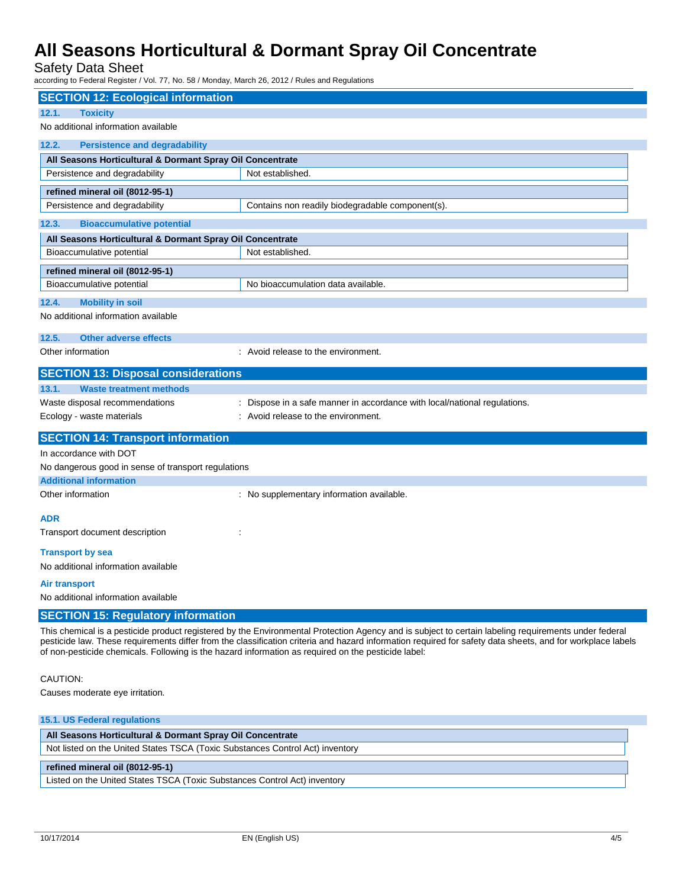Safety Data Sheet

according to Federal Register / Vol. 77, No. 58 / Monday, March 26, 2012 / Rules and Regulations

| <b>SECTION 12: Ecological information</b>                                                           |                                                                                                                                                                                                                                                                                                                    |
|-----------------------------------------------------------------------------------------------------|--------------------------------------------------------------------------------------------------------------------------------------------------------------------------------------------------------------------------------------------------------------------------------------------------------------------|
| 12.1.<br><b>Toxicity</b>                                                                            |                                                                                                                                                                                                                                                                                                                    |
| No additional information available                                                                 |                                                                                                                                                                                                                                                                                                                    |
| 12.2.<br><b>Persistence and degradability</b>                                                       |                                                                                                                                                                                                                                                                                                                    |
| All Seasons Horticultural & Dormant Spray Oil Concentrate                                           |                                                                                                                                                                                                                                                                                                                    |
| Persistence and degradability                                                                       | Not established.                                                                                                                                                                                                                                                                                                   |
| refined mineral oil (8012-95-1)                                                                     |                                                                                                                                                                                                                                                                                                                    |
| Persistence and degradability                                                                       | Contains non readily biodegradable component(s).                                                                                                                                                                                                                                                                   |
| <b>Bioaccumulative potential</b><br>12.3.                                                           |                                                                                                                                                                                                                                                                                                                    |
| All Seasons Horticultural & Dormant Spray Oil Concentrate                                           |                                                                                                                                                                                                                                                                                                                    |
| Bioaccumulative potential                                                                           | Not established.                                                                                                                                                                                                                                                                                                   |
| refined mineral oil (8012-95-1)                                                                     |                                                                                                                                                                                                                                                                                                                    |
| Bioaccumulative potential                                                                           | No bioaccumulation data available.                                                                                                                                                                                                                                                                                 |
| <b>Mobility in soil</b><br>12.4.                                                                    |                                                                                                                                                                                                                                                                                                                    |
| No additional information available                                                                 |                                                                                                                                                                                                                                                                                                                    |
| 12.5.<br><b>Other adverse effects</b>                                                               |                                                                                                                                                                                                                                                                                                                    |
| Other information                                                                                   | : Avoid release to the environment.                                                                                                                                                                                                                                                                                |
| <b>SECTION 13: Disposal considerations</b>                                                          |                                                                                                                                                                                                                                                                                                                    |
| <b>Waste treatment methods</b><br>13.1.                                                             |                                                                                                                                                                                                                                                                                                                    |
| Waste disposal recommendations                                                                      | : Dispose in a safe manner in accordance with local/national regulations.                                                                                                                                                                                                                                          |
| Ecology - waste materials                                                                           | : Avoid release to the environment.                                                                                                                                                                                                                                                                                |
| <b>SECTION 14: Transport information</b>                                                            |                                                                                                                                                                                                                                                                                                                    |
| In accordance with DOT                                                                              |                                                                                                                                                                                                                                                                                                                    |
| No dangerous good in sense of transport regulations                                                 |                                                                                                                                                                                                                                                                                                                    |
| <b>Additional information</b>                                                                       |                                                                                                                                                                                                                                                                                                                    |
| Other information                                                                                   | : No supplementary information available.                                                                                                                                                                                                                                                                          |
| ADR                                                                                                 |                                                                                                                                                                                                                                                                                                                    |
| Transport document description                                                                      |                                                                                                                                                                                                                                                                                                                    |
| <b>Transport by sea</b>                                                                             |                                                                                                                                                                                                                                                                                                                    |
| No additional information available                                                                 |                                                                                                                                                                                                                                                                                                                    |
| <b>Air transport</b>                                                                                |                                                                                                                                                                                                                                                                                                                    |
| No additional information available                                                                 |                                                                                                                                                                                                                                                                                                                    |
| <b>SECTION 15: Regulatory information</b>                                                           |                                                                                                                                                                                                                                                                                                                    |
| of non-pesticide chemicals. Following is the hazard information as required on the pesticide label: | This chemical is a pesticide product registered by the Environmental Protection Agency and is subject to certain labeling requirements under federal<br>pesticide law. These requirements differ from the classification criteria and hazard information required for safety data sheets, and for workplace labels |
| CAUTION:                                                                                            |                                                                                                                                                                                                                                                                                                                    |

Causes moderate eye irritation.

| All Seasons Horticultural & Dormant Spray Oil Concentrate<br>Not listed on the United States TSCA (Toxic Substances Control Act) inventory<br>refined mineral oil (8012-95-1)<br>Listed on the United States TSCA (Toxic Substances Control Act) inventory | 15.1. US Federal regulations |  |
|------------------------------------------------------------------------------------------------------------------------------------------------------------------------------------------------------------------------------------------------------------|------------------------------|--|
|                                                                                                                                                                                                                                                            |                              |  |
|                                                                                                                                                                                                                                                            |                              |  |
|                                                                                                                                                                                                                                                            |                              |  |
|                                                                                                                                                                                                                                                            |                              |  |